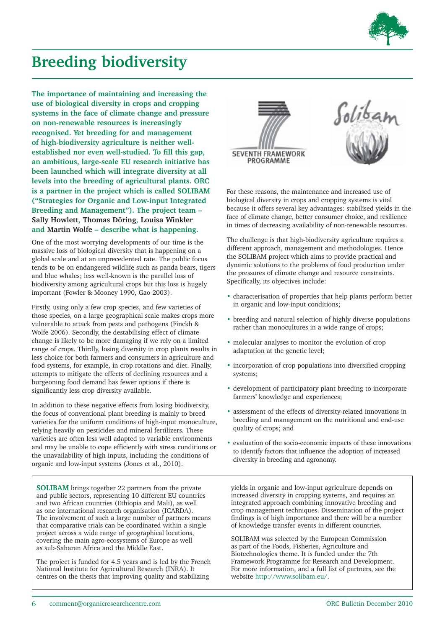

## **Breeding biodiversity**

**The importance of maintaining and increasing the use of biological diversity in crops and cropping systems in the face of climate change and pressure on non-renewable resources is increasingly recognised. Yet breeding for and management of high-biodiversity agriculture is neither wellestablished nor even well-studied. To fill this gap, an ambitious, large-scale EU research initiative has been launched which will integrate diversity at all levels into the breeding of agricultural plants. ORC is a partner in the project which is called SOLIBAM ("Strategies for Organic and Low-input Integrated Breeding and Management"). The project team – Sally Howlett, Thomas Döring, Louisa Winkler and Martin Wolfe – describe what is happening.**

One of the most worrying developments of our time is the massive loss of biological diversity that is happening on a global scale and at an unprecedented rate. The public focus tends to be on endangered wildlife such as panda bears, tigers and blue whales; less well-known is the parallel loss of biodiversity among agricultural crops but this loss is hugely important (Fowler & Mooney 1990, Gao 2003).

Firstly, using only a few crop species, and few varieties of those species, on a large geographical scale makes crops more vulnerable to attack from pests and pathogens (Finckh & Wolfe 2006). Secondly, the destabilising effect of climate change is likely to be more damaging if we rely on a limited range of crops. Thirdly, losing diversity in crop plants results in less choice for both farmers and consumers in agriculture and food systems, for example, in crop rotations and diet. Finally, attempts to mitigate the effects of declining resources and a burgeoning food demand has fewer options if there is significantly less crop diversity available.

In addition to these negative effects from losing biodiversity, the focus of conventional plant breeding is mainly to breed varieties for the uniform conditions of high-input monoculture, relying heavily on pesticides and mineral fertilizers. These varieties are often less well adapted to variable environments and may be unable to cope efficiently with stress conditions or the unavailability of high inputs, including the conditions of organic and low-input systems (Jones et al., 2010).

**SOLIBAM** brings together 22 partners from the private and public sectors, representing 10 different EU countries and two African countries (Ethiopia and Mali), as well as one international research organisation (ICARDA). The involvement of such a large number of partners means that comparative trials can be coordinated within a single project across a wide range of geographical locations, covering the main agro-ecosystems of Europe as well as sub-Saharan Africa and the Middle East.

The project is funded for 4.5 years and is led by the French National Institute for Agricultural Research (INRA). It centres on the thesis that improving quality and stabilizing



For these reasons, the maintenance and increased use of biological diversity in crops and cropping systems is vital because it offers several key advantages: stabilised yields in the face of climate change, better consumer choice, and resilience in times of decreasing availability of non-renewable resources.

The challenge is that high-biodiversity agriculture requires a different approach, management and methodologies. Hence the SOLIBAM project which aims to provide practical and dynamic solutions to the problems of food production under the pressures of climate change and resource constraints. Specifically, its objectives include:

- characterisation of properties that help plants perform better in organic and low-input conditions;
- breeding and natural selection of highly diverse populations rather than monocultures in a wide range of crops;
- molecular analyses to monitor the evolution of crop adaptation at the genetic level;
- incorporation of crop populations into diversified cropping systems;
- development of participatory plant breeding to incorporate farmers' knowledge and experiences;
- assessment of the effects of diversity-related innovations in breeding and management on the nutritional and end-use quality of crops; and
- evaluation of the socio-economic impacts of these innovations to identify factors that influence the adoption of increased diversity in breeding and agronomy.

yields in organic and low-input agriculture depends on increased diversity in cropping systems, and requires an integrated approach combining innovative breeding and crop management techniques. Dissemination of the project findings is of high importance and there will be a number of knowledge transfer events in different countries.

SOLIBAM was selected by the European Commission as part of the Foods, Fisheries, Agriculture and Biotechnologies theme. It is funded under the 7th Framework Programme for Research and Development. For more information, and a full list of partners, see the website http://www.solibam.eu/.